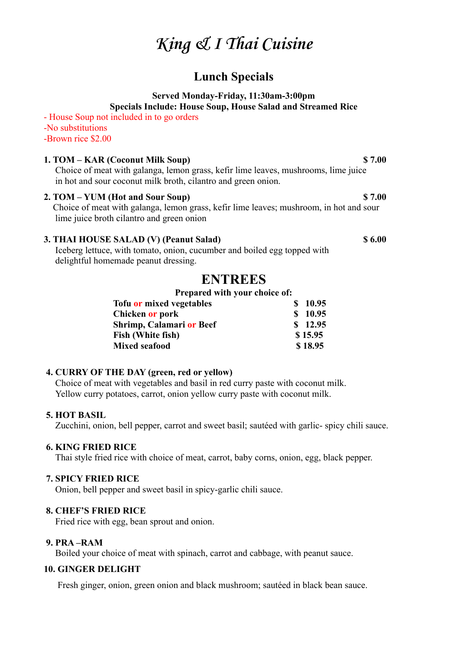# **King & I Thai Cuisine**

## **Lunch Specials**

#### **Served Monday-Friday, 11:30am-3:00pm Specials Include: House Soup, House Salad and Streamed Rice**

- House Soup not included in to go orders -No substitutions -Brown rice \$2.00

#### **1. TOM – KAR (Coconut Milk Soup) \$ 7.00**

Choice of meat with galanga, lemon grass, kefir lime leaves, mushrooms, lime juice in hot and sour coconut milk broth, cilantro and green onion.

#### **2. TOM – YUM (Hot and Sour Soup) \$ 7.00**

Choice of meat with galanga, lemon grass, kefir lime leaves; mushroom, in hot and sour lime juice broth cilantro and green onion

#### **3. THAI HOUSE SALAD (V) (Peanut Salad) \$ 6.00**

Iceberg lettuce, with tomato, onion, cucumber and boiled egg topped with delightful homemade peanut dressing.

## **ENTREES**

#### **Prepared with your choice of:**

| Tofu or mixed vegetables | \$10.95 |
|--------------------------|---------|
| Chicken or pork          | \$10.95 |
| Shrimp, Calamari or Beef | \$12.95 |
| Fish (White fish)        | \$15.95 |
| <b>Mixed seafood</b>     | \$18.95 |
|                          |         |

### **4. CURRY OF THE DAY (green, red or yellow)**

Choice of meat with vegetables and basil in red curry paste with coconut milk. Yellow curry potatoes, carrot, onion yellow curry paste with coconut milk.

### **5. HOT BASIL**

Zucchini, onion, bell pepper, carrot and sweet basil; sautéed with garlic- spicy chili sauce.

### **6. KING FRIED RICE**

Thai style fried rice with choice of meat, carrot, baby corns, onion, egg, black pepper.

#### **7. SPICY FRIED RICE**

Onion, bell pepper and sweet basil in spicy-garlic chili sauce.

#### **8. CHEF'S FRIED RICE**

Fried rice with egg, bean sprout and onion.

#### **9. PRA –RAM**

Boiled your choice of meat with spinach, carrot and cabbage, with peanut sauce.

#### **10. GINGER DELIGHT**

Fresh ginger, onion, green onion and black mushroom; sautéed in black bean sauce.